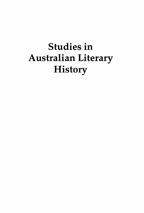## Studies in Australian Literary **History**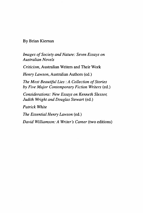#### By Brian Kiernan

*Images of Society and Nature: Seven Essays on Australian Novels* 

*Criticism,* Australian Writers and Their Work

*Henry Lawson,* Australian Authors (ed.)

*The Most Beautiful Lies :A Collection of Stories by Five Major Contemporary Fiction Writers* (ed.)

*Considerations: New Essays on Kenneth Slessor, Judith Wright and Douglas Stewart* (ed.)

*Patrick White* 

*The Essential Henry Lawson* (ed.)

*David Williamson: A Writer's Career* (two editions)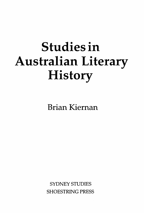# **Studies in**  Australian Literary **History**

Brian Kiernan

SYDNEY STUDIES SHOESTRING PRESS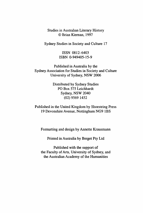Studies in Australian Literary History © Brian Kiernan, 1997

Sydney Studies in Society and Culture 17

ISSN 0812- 6403 ISBN 0-949405-15-9

Published in Australia by the Sydney Association for Studies in Society and Culture University of Sydney, NSW 2006

> Distributed by Sydney Studies PO Box 575 Leichhardt Sydney, NSW 2040 (02) 9569 1452

Published in the United Kingdom by Shoestring Press 19 Devonshire Avenue, Nottingham NG9 1BS

Formatting and design by Annette Krausmann

Printed in Australia by Berget Pty Ltd

Published with the support of the Faculty of Arts, University of Sydney, and the Australian Academy of the Humanities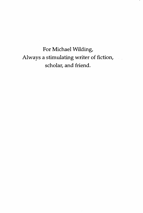For Michael Wilding, Always a stimulating writer of fiction, scholar, and friend.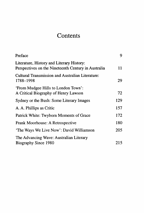### **Contents**

| Preface                                                                                          | 9   |
|--------------------------------------------------------------------------------------------------|-----|
| Literature, History and Literary History:<br>Perspectives on the Nineteenth Century in Australia | 11  |
| Cultural Transmission and Australian Literature:<br>1788-1998                                    | 29  |
| 'From Mudgee Hills to London Town':<br>A Critical Biography of Henry Lawson                      | 72  |
| Sydney or the Bush: Some Literary Images                                                         | 129 |
| A. A. Phillips as Critic                                                                         | 157 |
| Patrick White: Twyborn Moments of Grace                                                          | 172 |
| Frank Moorhouse: A Retrospective                                                                 | 180 |
| 'The Ways We Live Now': David Williamson                                                         | 205 |
| The Advancing Wave: Australian Literary                                                          |     |
| Biography Since 1980                                                                             | 215 |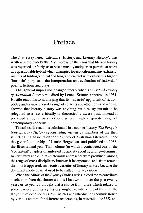### **Preface**

The first essay here, 'Literature, History, and Literary History', was written in the mid-1970s. My impression then was that literary history was regarded, unfairly, as at best a mustily antiquarian pursuit; at worst as a questionable hybrid which attempted to reconcile mundane 'extrinsic' matters of bibliographical and biographical fact with criticism's higher, 'intrinsic' purposes—the interpretation and evaluation of individual poems, fictions and plays.

That general impression changed utterly when *The Oxford History of Australian Literature,* edited by Leonie Kramer, appeared in 1981. Hostile reactions to it, alleging that its 'intrinsic' appraisals of fiction, poetry and drama ignored a range of contexts and other forms of writing, showed that literary history was anything but a musty pursuit to be relegated to a less critically or theoretically aware past. Instead it provided a focus for an otherwise seemingly disparate range of contemporary concerns.

These hostile reactions culminated in a counter-history, *The Penguin New Literary History of Australia,* written by members of the then still fledgling Association for the Study of Australian Literature under the general editorship of Laurie Hergenhan, and published in 1988, the Bicentennial year. This volume (to which I contributed one of the 'contextual' chapters) manifested no anxiety about hybridity-feminist, multicultural and cultural-materialist approaches were prominent among the range of cross-disciplinary interests it incorporated; and, from around the time it appeared, revisionist varieties of literary history became the dominant mode of what used to be called 'literary criticism'.

When the editors of the Sydney Studies series invited me to contribute a selection from the shorter studies I had written over the past twenty years or so years, I thought that a choice from those which related to some variety of literary history might provide a thread through the labyrinth of occasional essays, articles and introductions commissioned by various editors, for different readerships, in Australia, the U.S. and